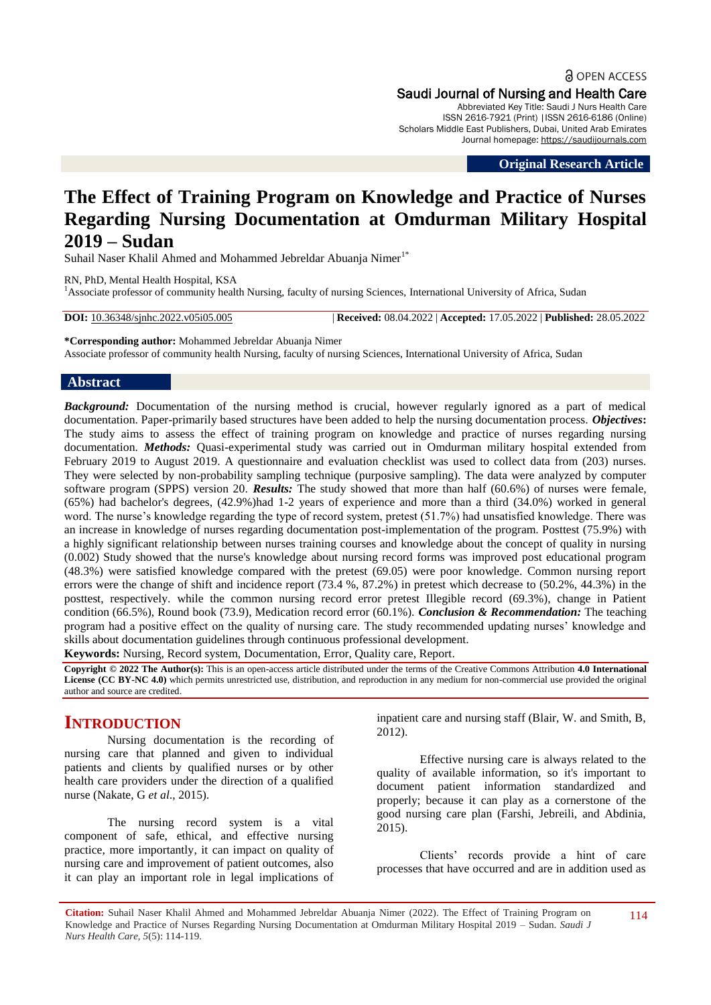**a** OPEN ACCESS Saudi Journal of Nursing and Health Care Abbreviated Key Title: Saudi J Nurs Health Care ISSN 2616-7921 (Print) |ISSN 2616-6186 (Online) Scholars Middle East Publishers, Dubai, United Arab Emirates Journal homepage: [https://saudijournals.com](https://saudijournals.com/sjnhc)

**Original Research Article**

# **The Effect of Training Program on Knowledge and Practice of Nurses Regarding Nursing Documentation at Omdurman Military Hospital 2019 – Sudan**

Suhail Naser Khalil Ahmed and Mohammed Jebreldar Abuania Nimer<sup>1\*</sup>

RN, PhD, Mental Health Hospital, KSA <sup>1</sup>Associate professor of community health Nursing, faculty of nursing Sciences, International University of Africa, Sudan

**DOI:** 10.36348/sjnhc.2022.v05i05.005 | **Received:** 08.04.2022 | **Accepted:** 17.05.2022 | **Published:** 28.05.2022

**\*Corresponding author:** Mohammed Jebreldar Abuanja Nimer Associate professor of community health Nursing, faculty of nursing Sciences, International University of Africa, Sudan

# **Abstract**

*Background:* Documentation of the nursing method is crucial, however regularly ignored as a part of medical documentation. Paper-primarily based structures have been added to help the nursing documentation process. *Objectives***:** The study aims to assess the effect of training program on knowledge and practice of nurses regarding nursing documentation. *Methods:* Quasi-experimental study was carried out in Omdurman military hospital extended from February 2019 to August 2019. A questionnaire and evaluation checklist was used to collect data from (203) nurses. They were selected by non-probability sampling technique (purposive sampling). The data were analyzed by computer software program (SPPS) version 20. *Results:* The study showed that more than half (60.6%) of nurses were female, (65%) had bachelor's degrees, (42.9%)had 1-2 years of experience and more than a third (34.0%) worked in general word. The nurse's knowledge regarding the type of record system, pretest (51.7%) had unsatisfied knowledge. There was an increase in knowledge of nurses regarding documentation post-implementation of the program. Posttest (75.9%) with a highly significant relationship between nurses training courses and knowledge about the concept of quality in nursing (0.002) Study showed that the nurse's knowledge about nursing record forms was improved post educational program (48.3%) were satisfied knowledge compared with the pretest (69.05) were poor knowledge. Common nursing report errors were the change of shift and incidence report (73.4 %, 87.2%) in pretest which decrease to (50.2%, 44.3%) in the posttest, respectively. while the common nursing record error pretest Illegible record (69.3%), change in Patient condition (66.5%), Round book (73.9), Medication record error (60.1%). *Conclusion & Recommendation:* The teaching program had a positive effect on the quality of nursing care. The study recommended updating nurses' knowledge and skills about documentation guidelines through continuous professional development.

**Keywords:** Nursing, Record system, Documentation, Error, Quality care, Report.

**Copyright © 2022 The Author(s):** This is an open-access article distributed under the terms of the Creative Commons Attribution **4.0 International License (CC BY-NC 4.0)** which permits unrestricted use, distribution, and reproduction in any medium for non-commercial use provided the original author and source are credited.

# **INTRODUCTION**

Nursing documentation is the recording of nursing care that planned and given to individual patients and clients by qualified nurses or by other health care providers under the direction of a qualified nurse (Nakate, G *et al*., 2015).

The nursing record system is a vital component of safe, ethical, and effective nursing practice, more importantly, it can impact on quality of nursing care and improvement of patient outcomes, also it can play an important role in legal implications of inpatient care and nursing staff (Blair, W. and Smith, B, 2012).

Effective nursing care is always related to the quality of available information, so it's important to document patient information standardized and properly; because it can play as a cornerstone of the good nursing care plan (Farshi, Jebreili, and Abdinia, 2015).

Clients' records provide a hint of care processes that have occurred and are in addition used as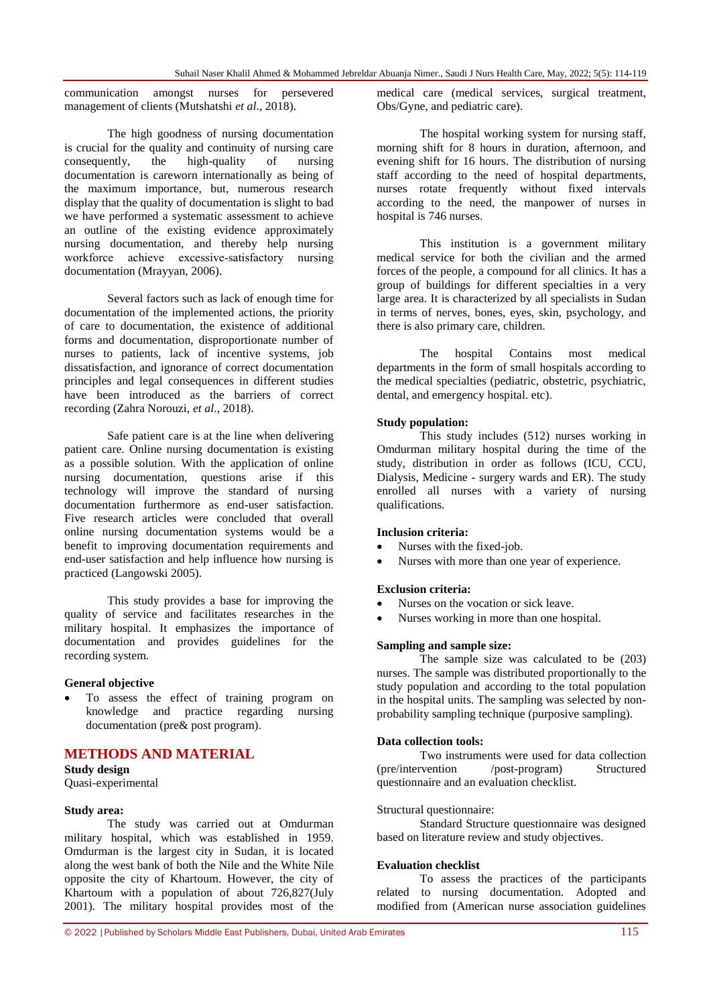communication amongst nurses for persevered management of clients (Mutshatshi *et al*., 2018).

The high goodness of nursing documentation is crucial for the quality and continuity of nursing care consequently, the high-quality of nursing documentation is careworn internationally as being of the maximum importance, but, numerous research display that the quality of documentation is slight to bad we have performed a systematic assessment to achieve an outline of the existing evidence approximately nursing documentation, and thereby help nursing workforce achieve excessive‐satisfactory nursing documentation (Mrayyan, 2006).

Several factors such as lack of enough time for documentation of the implemented actions, the priority of care to documentation, the existence of additional forms and documentation, disproportionate number of nurses to patients, lack of incentive systems, job dissatisfaction, and ignorance of correct documentation principles and legal consequences in different studies have been introduced as the barriers of correct recording (Zahra Norouzi, *et al*., 2018).

Safe patient care is at the line when delivering patient care. Online nursing documentation is existing as a possible solution. With the application of online nursing documentation, questions arise if this technology will improve the standard of nursing documentation furthermore as end-user satisfaction. Five research articles were concluded that overall online nursing documentation systems would be a benefit to improving documentation requirements and end-user satisfaction and help influence how nursing is practiced (Langowski 2005).

This study provides a base for improving the quality of service and facilitates researches in the military hospital. It emphasizes the importance of documentation and provides guidelines for the recording system.

#### **General objective**

 To assess the effect of training program on knowledge and practice regarding nursing documentation (pre& post program).

## **METHODS AND MATERIAL**

**Study design** Quasi-experimental

#### **Study area:**

The study was carried out at Omdurman military hospital, which was established in 1959. Omdurman is the largest city in Sudan, it is located along the west bank of both the Nile and the White Nile opposite the city of Khartoum. However, the city of Khartoum with a population of about 726,827(July 2001). The military hospital provides most of the

medical care (medical services, surgical treatment, Obs/Gyne, and pediatric care).

The hospital working system for nursing staff, morning shift for 8 hours in duration, afternoon, and evening shift for 16 hours. The distribution of nursing staff according to the need of hospital departments, nurses rotate frequently without fixed intervals according to the need, the manpower of nurses in hospital is 746 nurses.

This institution is a government military medical service for both the civilian and the armed forces of the people, a compound for all clinics. It has a group of buildings for different specialties in a very large area. It is characterized by all specialists in Sudan in terms of nerves, bones, eyes, skin, psychology, and there is also primary care, children.

The hospital Contains most medical departments in the form of small hospitals according to the medical specialties (pediatric, obstetric, psychiatric, dental, and emergency hospital. etc).

#### **Study population:**

This study includes (512) nurses working in Omdurman military hospital during the time of the study, distribution in order as follows (ICU, CCU, Dialysis, Medicine - surgery wards and ER). The study enrolled all nurses with a variety of nursing qualifications.

#### **Inclusion criteria:**

- Nurses with the fixed-job.
- Nurses with more than one year of experience.

#### **Exclusion criteria:**

- Nurses on the vocation or sick leave.
- Nurses working in more than one hospital.

#### **Sampling and sample size:**

The sample size was calculated to be (203) nurses. The sample was distributed proportionally to the study population and according to the total population in the hospital units. The sampling was selected by nonprobability sampling technique (purposive sampling).

#### **Data collection tools:**

Two instruments were used for data collection (pre/intervention /post-program) Structured questionnaire and an evaluation checklist.

#### Structural questionnaire:

Standard Structure questionnaire was designed based on literature review and study objectives.

#### **Evaluation checklist**

To assess the practices of the participants related to nursing documentation. Adopted and modified from (American nurse association guidelines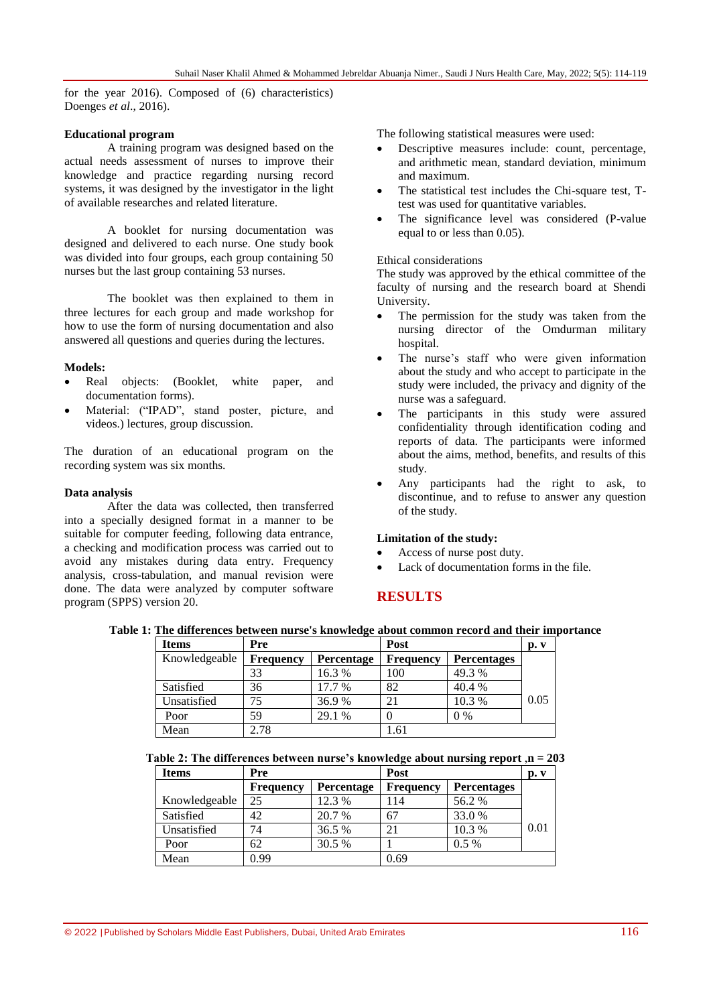for the year 2016). Composed of (6) characteristics) Doenges *et al*., 2016).

### **Educational program**

A training program was designed based on the actual needs assessment of nurses to improve their knowledge and practice regarding nursing record systems, it was designed by the investigator in the light of available researches and related literature.

A booklet for nursing documentation was designed and delivered to each nurse. One study book was divided into four groups, each group containing 50 nurses but the last group containing 53 nurses.

The booklet was then explained to them in three lectures for each group and made workshop for how to use the form of nursing documentation and also answered all questions and queries during the lectures.

## **Models:**

- Real objects: (Booklet, white paper, and documentation forms).
- Material: ("IPAD", stand poster, picture, and videos.) lectures, group discussion.

The duration of an educational program on the recording system was six months.

### **Data analysis**

After the data was collected, then transferred into a specially designed format in a manner to be suitable for computer feeding, following data entrance, a checking and modification process was carried out to avoid any mistakes during data entry. Frequency analysis, cross-tabulation, and manual revision were done. The data were analyzed by computer software program (SPPS) version 20.

The following statistical measures were used:

- Descriptive measures include: count, percentage, and arithmetic mean, standard deviation, minimum and maximum.
- The statistical test includes the Chi-square test, Ttest was used for quantitative variables.
- The significance level was considered (P-value equal to or less than 0.05).

## Ethical considerations

The study was approved by the ethical committee of the faculty of nursing and the research board at Shendi University.

- The permission for the study was taken from the nursing director of the Omdurman military hospital.
- The nurse's staff who were given information about the study and who accept to participate in the study were included, the privacy and dignity of the nurse was a safeguard.
- The participants in this study were assured confidentiality through identification coding and reports of data. The participants were informed about the aims, method, benefits, and results of this study.
- Any participants had the right to ask, to discontinue, and to refuse to answer any question of the study.

#### **Limitation of the study:**

- Access of nurse post duty.
- Lack of documentation forms in the file.

# **RESULTS**

| <b>Items</b>  | Pre              |            | Post             |                    | p. v |
|---------------|------------------|------------|------------------|--------------------|------|
| Knowledgeable | <b>Frequency</b> | Percentage | <b>Frequency</b> | <b>Percentages</b> |      |
|               | 33               | 16.3%      | 100              | 49.3 %             |      |
| Satisfied     | 36               | 17.7 %     | 82               | 40.4 %             |      |
| Unsatisfied   | 75               | 36.9%      | 21               | 10.3 %             | 0.05 |
| Poor          | 59               | 29.1 %     |                  | $0\%$              |      |
| Mean          | 2.78             |            | 1.61             |                    |      |

**Table 1: The differences between nurse's knowledge about common record and their importance**

|  | Table 2: The differences between nurse's knowledge about nursing report ,n = 203 |  |  |  |
|--|----------------------------------------------------------------------------------|--|--|--|
|  |                                                                                  |  |  |  |

| <b>Items</b>  | Pre              |                   | Post             |                    | p. v |
|---------------|------------------|-------------------|------------------|--------------------|------|
|               | <b>Frequency</b> | <b>Percentage</b> | <b>Frequency</b> | <b>Percentages</b> |      |
| Knowledgeable | 25               | 12.3 %            | 114              | 56.2 %             |      |
| Satisfied     | 42               | 20.7 %            | 67               | 33.0 %             |      |
| Unsatisfied   | 74               | 36.5 %            | 21               | 10.3 %             | 0.01 |
| Poor          | 62               | 30.5 %            |                  | $0.5\%$            |      |
| Mean          | 0.99             |                   | 0.69             |                    |      |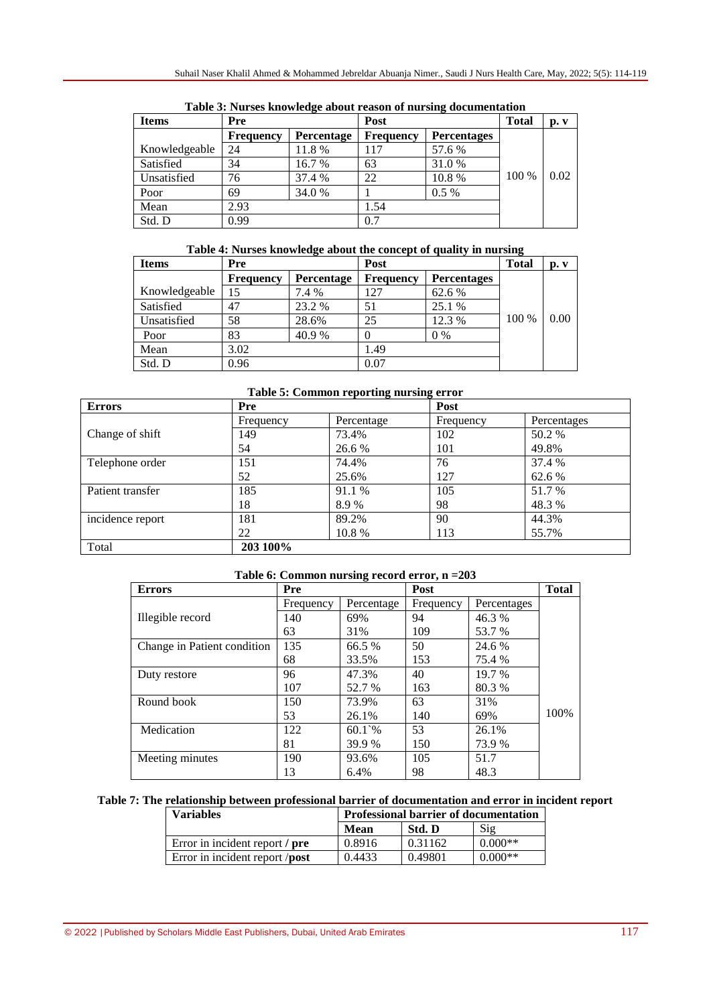| <b>Items</b>  | Pre              |            | Post             |                    | <b>Total</b> | p. v |
|---------------|------------------|------------|------------------|--------------------|--------------|------|
|               | <b>Frequency</b> | Percentage | <b>Frequency</b> | <b>Percentages</b> |              |      |
| Knowledgeable | 24               | 11.8%      | 117              | 57.6 %             |              |      |
| Satisfied     | 34               | 16.7 %     | 63               | 31.0 %             |              |      |
| Unsatisfied   | 76               | 37.4 %     | 22               | 10.8%              | 100 %        | 0.02 |
| Poor          | 69               | 34.0 %     |                  | $0.5\%$            |              |      |
| Mean          | 2.93             |            | 1.54             |                    |              |      |
| Std. D        | 0.99             |            | 0.7              |                    |              |      |

**Table 3: Nurses knowledge about reason of nursing documentation**

# **Table 4: Nurses knowledge about the concept of quality in nursing**

| <b>Items</b>  | Pre              |            | Post             |                    | <b>Total</b> | p. v |
|---------------|------------------|------------|------------------|--------------------|--------------|------|
|               | <b>Frequency</b> | Percentage | <b>Frequency</b> | <b>Percentages</b> |              |      |
| Knowledgeable |                  | 7.4 %      | 127              | 62.6 %             |              |      |
| Satisfied     | 47               | 23.2 %     | 51               | 25.1 %             |              |      |
| Unsatisfied   | 58               | 28.6%      | 25               | 12.3 %             | 100 %        | 0.00 |
| Poor          | 83               | 40.9 %     |                  | $0\%$              |              |      |
| Mean          | 3.02             |            | 1.49             |                    |              |      |
| Std. D        | 0.96             |            | 0.07             |                    |              |      |

**Table 5: Common reporting nursing error**

| <b>Errors</b>    | Pre       |            | Post      |             |
|------------------|-----------|------------|-----------|-------------|
|                  | Frequency | Percentage | Frequency | Percentages |
| Change of shift  | 149       | 73.4%      | 102       | 50.2 %      |
|                  | 54        | 26.6 %     | 101       | 49.8%       |
| Telephone order  | 151       | 74.4%      | 76        | 37.4 %      |
|                  | 52        | 25.6%      | 127       | 62.6 %      |
| Patient transfer | 185       | 91.1 %     | 105       | 51.7 %      |
|                  | 18        | 8.9%       | 98        | 48.3 %      |
| incidence report | 181       | 89.2%      | 90        | 44.3%       |
|                  | 22        | 10.8 %     | 113       | 55.7%       |
| Total            | 203 100%  |            |           |             |

| Table 6: Common nursing record error, $n = 203$ |  |  |
|-------------------------------------------------|--|--|
|-------------------------------------------------|--|--|

| <b>Errors</b>               | Pre       |                  | Post      |             | <b>Total</b> |
|-----------------------------|-----------|------------------|-----------|-------------|--------------|
|                             | Frequency | Percentage       | Frequency | Percentages |              |
| Illegible record            | 140       | 69%              | 94        | 46.3%       |              |
|                             | 63        | 31%              | 109       | 53.7 %      |              |
| Change in Patient condition | 135       | 66.5 %           | 50        | 24.6 %      |              |
|                             | 68        | 33.5%            | 153       | 75.4 %      |              |
| Duty restore                | 96        | 47.3%            | 40        | 19.7 %      |              |
|                             | 107       | 52.7 %           | 163       | 80.3%       |              |
| Round book                  | 150       | 73.9%            | 63        | 31%         |              |
|                             | 53        | 26.1%            | 140       | 69%         | 100%         |
| Medication                  | 122       | $60.1^{\circ}\%$ | 53        | 26.1%       |              |
|                             | 81        | 39.9 %           | 150       | 73.9 %      |              |
| Meeting minutes             | 190       | 93.6%            | 105       | 51.7        |              |
|                             | 13        | 6.4%             | 98        | 48.3        |              |

## **Table 7: The relationship between professional barrier of documentation and error in incident report**

| <b>Variables</b>               | <b>Professional barrier of documentation</b> |         |                |
|--------------------------------|----------------------------------------------|---------|----------------|
|                                | Mean                                         | Std. D  | $\mathrm{Sig}$ |
| Error in incident report / pre | 0.8916                                       | 0.31162 | $0.000**$      |
| Error in incident report /post | 0.4433                                       | 0.49801 | $0.000**$      |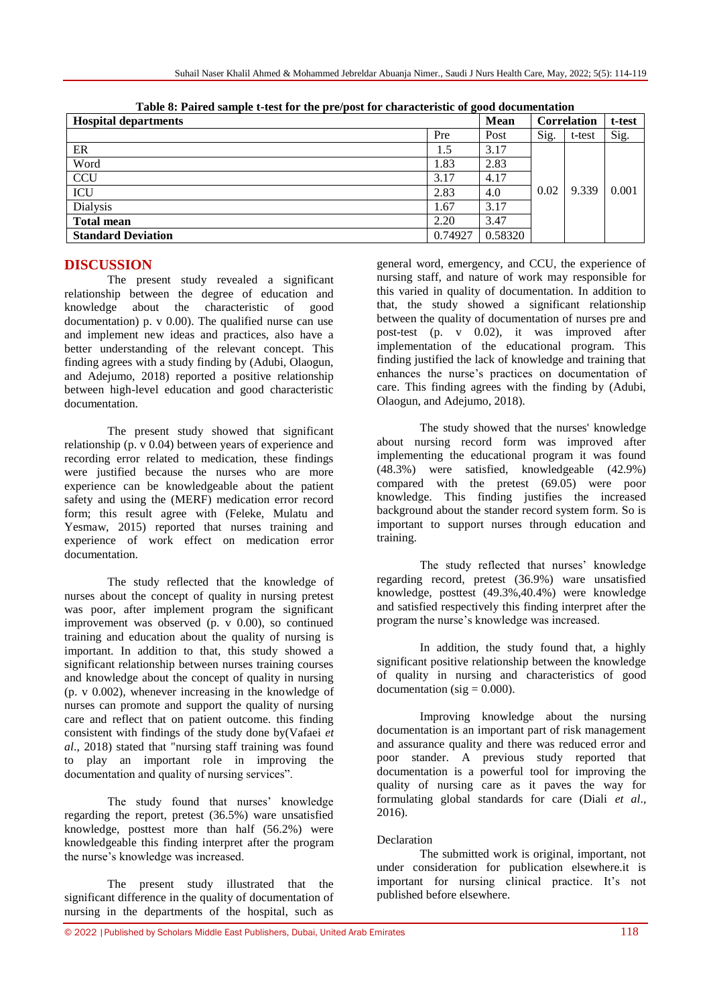| <b>Hospital departments</b> |         | <b>Mean</b> |      | <b>Correlation</b> | t-test |
|-----------------------------|---------|-------------|------|--------------------|--------|
|                             | Pre     | Post        | Sig. | t-test             | Sig.   |
| ER                          | 1.5     | 3.17        |      |                    |        |
| Word                        | 1.83    | 2.83        |      |                    | 0.001  |
| <b>CCU</b>                  | 3.17    | 4.17        |      |                    |        |
| ICU                         | 2.83    | 4.0         | 0.02 | 9.339              |        |
| <b>Dialysis</b>             | 1.67    | 3.17        |      |                    |        |
| <b>Total mean</b>           | 2.20    | 3.47        |      |                    |        |
| <b>Standard Deviation</b>   | 0.74927 | 0.58320     |      |                    |        |

**Table 8: Paired sample t-test for the pre/post for characteristic of good documentation**

# **DISCUSSION**

The present study revealed a significant relationship between the degree of education and knowledge about the characteristic of good documentation) p.  $v$  0.00). The qualified nurse can use and implement new ideas and practices, also have a better understanding of the relevant concept. This finding agrees with a study finding by (Adubi, Olaogun, and Adejumo, 2018) reported a positive relationship between high-level education and good characteristic documentation.

The present study showed that significant relationship (p. v 0.04) between years of experience and recording error related to medication, these findings were justified because the nurses who are more experience can be knowledgeable about the patient safety and using the (MERF) medication error record form; this result agree with (Feleke, Mulatu and Yesmaw, 2015) reported that nurses training and experience of work effect on medication error documentation.

The study reflected that the knowledge of nurses about the concept of quality in nursing pretest was poor, after implement program the significant improvement was observed (p. v 0.00), so continued training and education about the quality of nursing is important. In addition to that, this study showed a significant relationship between nurses training courses and knowledge about the concept of quality in nursing (p. v 0.002), whenever increasing in the knowledge of nurses can promote and support the quality of nursing care and reflect that on patient outcome. this finding consistent with findings of the study done by(Vafaei *et al*., 2018) stated that "nursing staff training was found to play an important role in improving the documentation and quality of nursing services".

The study found that nurses' knowledge regarding the report, pretest (36.5%) ware unsatisfied knowledge, posttest more than half (56.2%) were knowledgeable this finding interpret after the program the nurse's knowledge was increased.

The present study illustrated that the significant difference in the quality of documentation of nursing in the departments of the hospital, such as

general word, emergency, and CCU, the experience of nursing staff, and nature of work may responsible for this varied in quality of documentation. In addition to that, the study showed a significant relationship between the quality of documentation of nurses pre and post-test (p. v 0.02), it was improved after implementation of the educational program. This finding justified the lack of knowledge and training that enhances the nurse's practices on documentation of care. This finding agrees with the finding by (Adubi, Olaogun, and Adejumo, 2018).

The study showed that the nurses' knowledge about nursing record form was improved after implementing the educational program it was found (48.3%) were satisfied, knowledgeable (42.9%) compared with the pretest (69.05) were poor knowledge. This finding justifies the increased background about the stander record system form. So is important to support nurses through education and training.

The study reflected that nurses' knowledge regarding record, pretest (36.9%) ware unsatisfied knowledge, posttest (49.3%,40.4%) were knowledge and satisfied respectively this finding interpret after the program the nurse's knowledge was increased.

In addition, the study found that, a highly significant positive relationship between the knowledge of quality in nursing and characteristics of good  $d$ ocumentation (sig = 0.000).

Improving knowledge about the nursing documentation is an important part of risk management and assurance quality and there was reduced error and poor stander. A previous study reported that documentation is a powerful tool for improving the quality of nursing care as it paves the way for formulating global standards for care (Diali *et al*., 2016).

# Declaration

The submitted work is original, important, not under consideration for publication elsewhere.it is important for nursing clinical practice. It's not published before elsewhere.